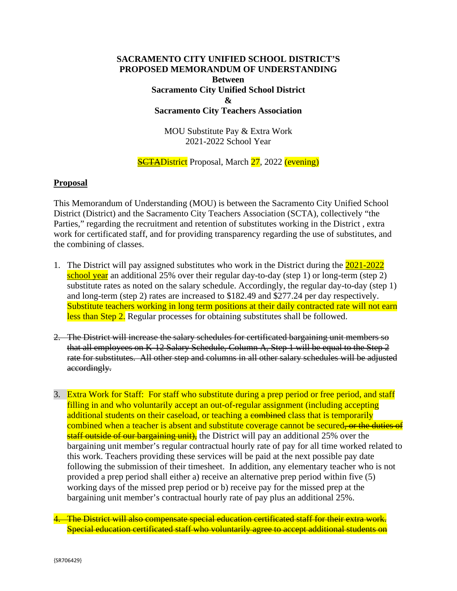## **SACRAMENTO CITY UNIFIED SCHOOL DISTRICT'S PROPOSED MEMORANDUM OF UNDERSTANDING Between Sacramento City Unified School District & Sacramento City Teachers Association**

MOU Substitute Pay & Extra Work 2021-2022 School Year

## **SCTADistrict** Proposal, March 27, 2022 (evening)

## **Proposal**

This Memorandum of Understanding (MOU) is between the Sacramento City Unified School District (District) and the Sacramento City Teachers Association (SCTA), collectively "the Parties," regarding the recruitment and retention of substitutes working in the District , extra work for certificated staff, and for providing transparency regarding the use of substitutes, and the combining of classes.

- 1. The District will pay assigned substitutes who work in the District during the 2021-2022 school year an additional 25% over their regular day-to-day (step 1) or long-term (step 2) substitute rates as noted on the salary schedule. Accordingly, the regular day-to-day (step 1) and long-term (step 2) rates are increased to \$182.49 and \$277.24 per day respectively. Substitute teachers working in long term positions at their daily contracted rate will not earn less than Step 2. Regular processes for obtaining substitutes shall be followed.
- 2. The District will increase the salary schedules for certificated bargaining unit members so that all employees on K-12 Salary Schedule, Column A, Step 1 will be equal to the Step 2 rate for substitutes. All other step and columns in all other salary schedules will be adjusted accordingly.
- 3. Extra Work for Staff: For staff who substitute during a prep period or free period, and staff filling in and who voluntarily accept an out-of-regular assignment (including accepting additional students on their caseload, or teaching a combined class that is temporarily combined when a teacher is absent and substitute coverage cannot be secured<del>, or the duties of</del> staff outside of our bargaining unit), the District will pay an additional 25% over the bargaining unit member's regular contractual hourly rate of pay for all time worked related to this work. Teachers providing these services will be paid at the next possible pay date following the submission of their timesheet. In addition, any elementary teacher who is not provided a prep period shall either a) receive an alternative prep period within five (5) working days of the missed prep period or b) receive pay for the missed prep at the bargaining unit member's contractual hourly rate of pay plus an additional 25%.

4. The District will also compensate special education certificated staff for their extra work. Special education certificated staff who voluntarily agree to accept additional students on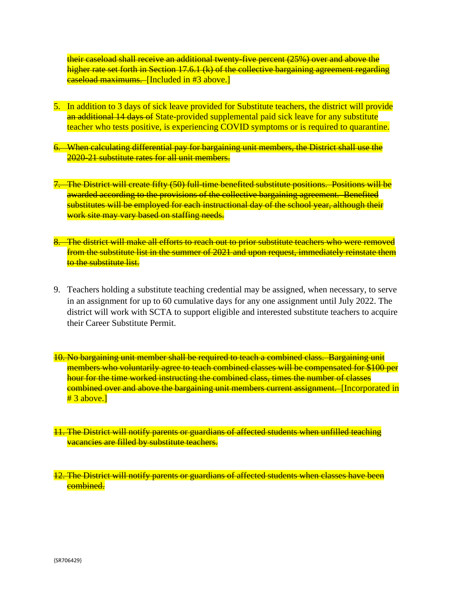their caseload shall receive an additional twenty-five percent (25%) over and above the higher rate set forth in Section 17.6.1 (k) of the collective bargaining agreement regarding easeload maximums. [Included in #3 above.]

- 5. In addition to 3 days of sick leave provided for Substitute teachers, the district will provide an additional 14 days of State-provided supplemental paid sick leave for any substitute teacher who tests positive, is experiencing COVID symptoms or is required to quarantine.
- 6. When calculating differential pay for bargaining unit members, the District shall use the 2020-21 substitute rates for all unit members.
- 7. The District will create fifty (50) full-time benefited substitute positions. Positions will be awarded according to the provisions of the collective bargaining agreement. Benefited substitutes will be employed for each instructional day of the school year, although their work site may vary based on staffing needs.
- 8. The district will make all efforts to reach out to prior substitute teachers who were removed from the substitute list in the summer of 2021 and upon request, immediately reinstate them to the substitute list.
- 9. Teachers holding a substitute teaching credential may be assigned, when necessary, to serve in an assignment for up to 60 cumulative days for any one assignment until July 2022. The district will work with SCTA to support eligible and interested substitute teachers to acquire their Career Substitute Permit.
- 10. No bargaining unit member shall be required to teach a combined class. Bargaining unit members who voluntarily agree to teach combined classes will be compensated for \$100 per hour for the time worked instructing the combined class, times the number of classes combined over and above the bargaining unit members current assignment. [Incorporated in  $# 3$  above.]
- 11. The District will notify parents or guardians of affected students when unfilled teaching vacancies are filled by substitute teachers.
- 12. The District will notify parents or guardians of affected students when classes have been combined.